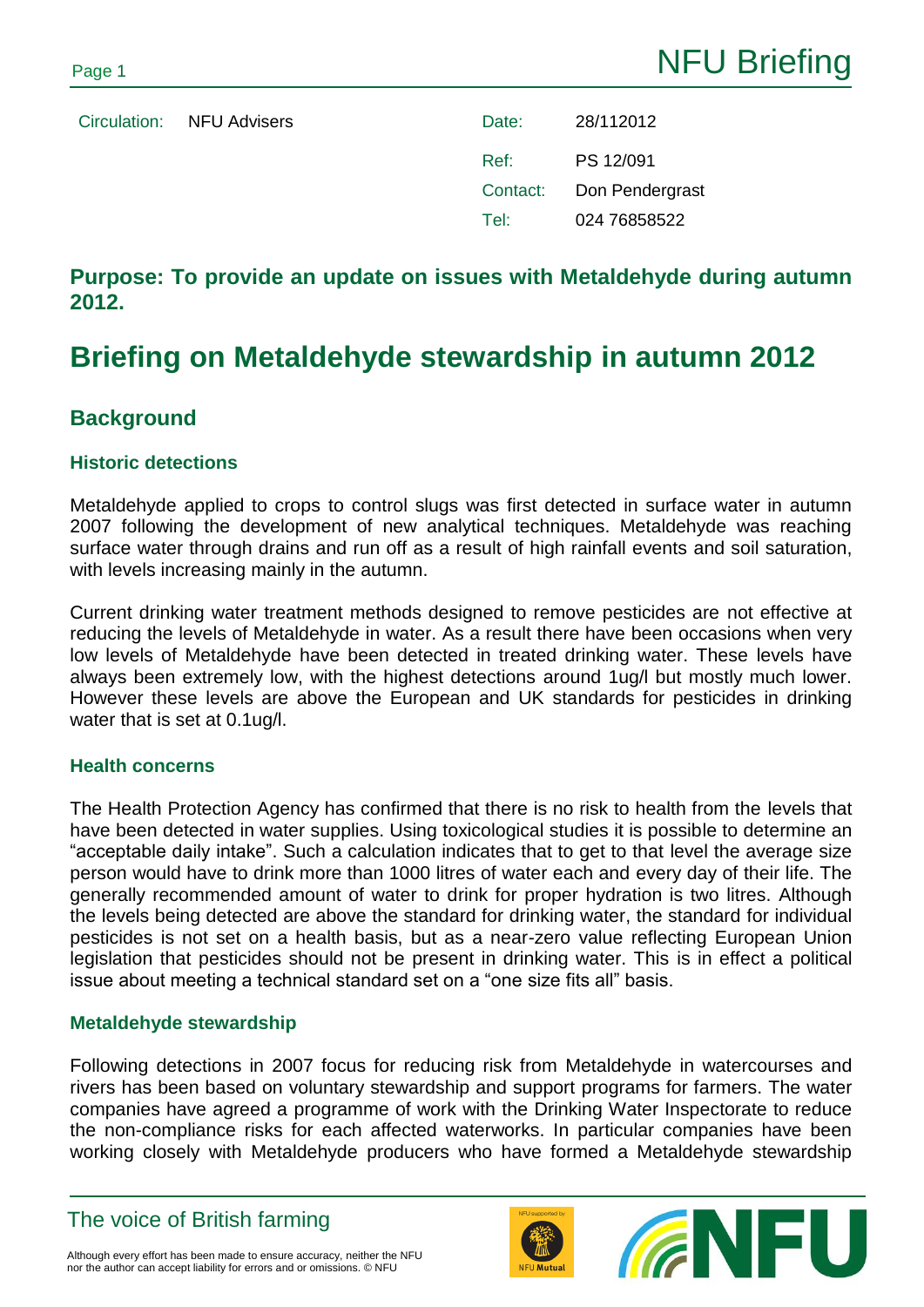Circulation: NFU Advisers Date: 28/112012 Ref: PS 12/091 Contact: Don Pendergrast Tel: 024 76858522

## **Purpose: To provide an update on issues with Metaldehyde during autumn 2012.**

# **Briefing on Metaldehyde stewardship in autumn 2012**

### **Background**

#### **Historic detections**

Metaldehyde applied to crops to control slugs was first detected in surface water in autumn 2007 following the development of new analytical techniques. Metaldehyde was reaching surface water through drains and run off as a result of high rainfall events and soil saturation, with levels increasing mainly in the autumn.

Current drinking water treatment methods designed to remove pesticides are not effective at reducing the levels of Metaldehyde in water. As a result there have been occasions when very low levels of Metaldehyde have been detected in treated drinking water. These levels have always been extremely low, with the highest detections around 1ug/l but mostly much lower. However these levels are above the European and UK standards for pesticides in drinking water that is set at 0.1ug/l.

#### **Health concerns**

The Health Protection Agency has confirmed that there is no risk to health from the levels that have been detected in water supplies. Using toxicological studies it is possible to determine an "acceptable daily intake". Such a calculation indicates that to get to that level the average size person would have to drink more than 1000 litres of water each and every day of their life. The generally recommended amount of water to drink for proper hydration is two litres. Although the levels being detected are above the standard for drinking water, the standard for individual pesticides is not set on a health basis, but as a near-zero value reflecting European Union legislation that pesticides should not be present in drinking water. This is in effect a political issue about meeting a technical standard set on a "one size fits all" basis.

#### **Metaldehyde stewardship**

Following detections in 2007 focus for reducing risk from Metaldehyde in watercourses and rivers has been based on voluntary stewardship and support programs for farmers. The water companies have agreed a programme of work with the Drinking Water Inspectorate to reduce the non-compliance risks for each affected waterworks. In particular companies have been working closely with Metaldehyde producers who have formed a Metaldehyde stewardship

The voice of British farming



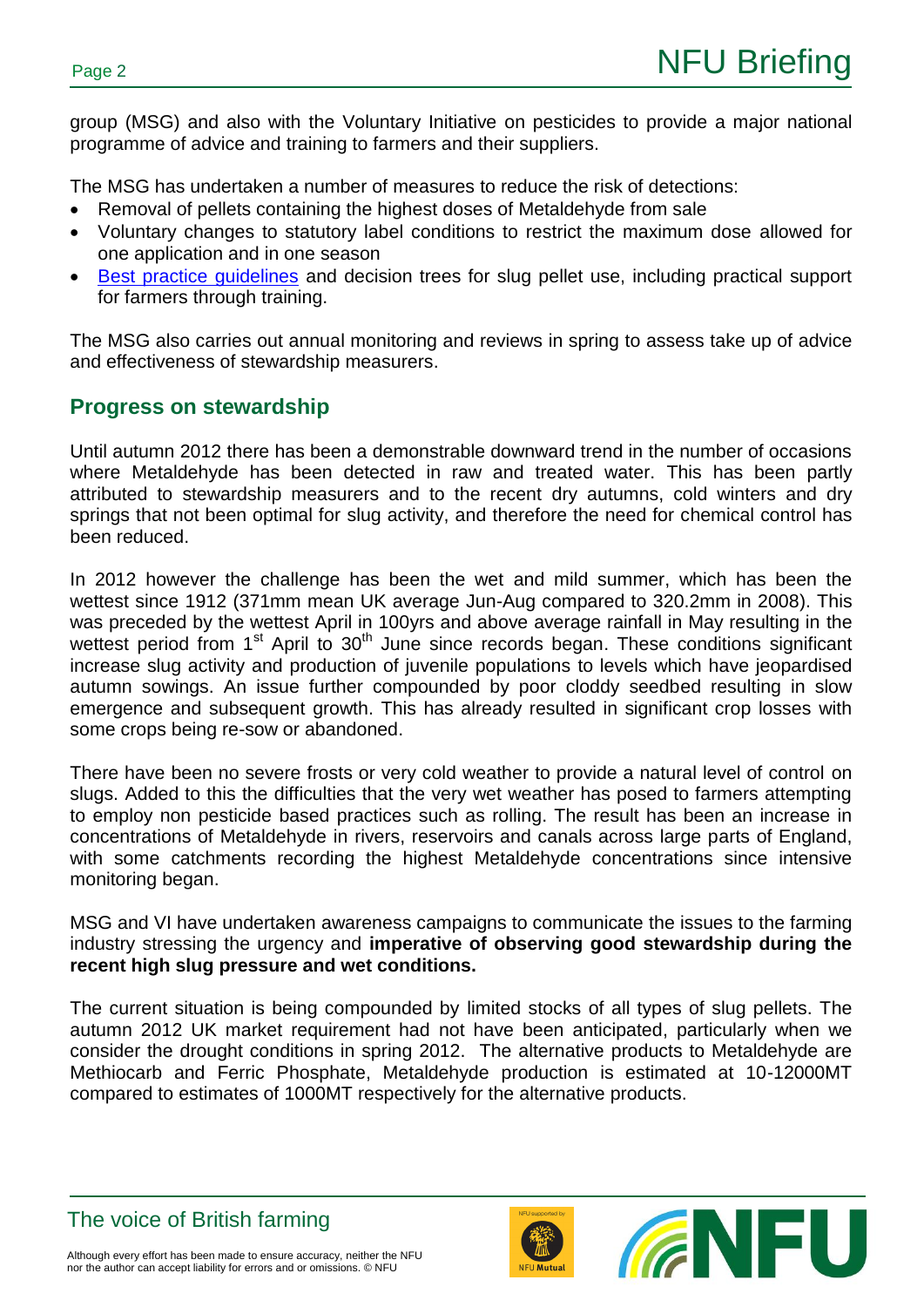group (MSG) and also with the Voluntary Initiative on pesticides to provide a major national programme of advice and training to farmers and their suppliers.

The MSG has undertaken a number of measures to reduce the risk of detections:

- Removal of pellets containing the highest doses of Metaldehyde from sale
- Voluntary changes to statutory label conditions to restrict the maximum dose allowed for one application and in one season
- [Best practice guidelines](http://www.getpelletwise.co.uk/best-practice/) and decision trees for slug pellet use, including practical support for farmers through training.

The MSG also carries out annual monitoring and reviews in spring to assess take up of advice and effectiveness of stewardship measurers.

## **Progress on stewardship**

Until autumn 2012 there has been a demonstrable downward trend in the number of occasions where Metaldehyde has been detected in raw and treated water. This has been partly attributed to stewardship measurers and to the recent dry autumns, cold winters and dry springs that not been optimal for slug activity, and therefore the need for chemical control has been reduced.

In 2012 however the challenge has been the wet and mild summer, which has been the wettest since 1912 (371mm mean UK average Jun-Aug compared to 320.2mm in 2008). This was preceded by the wettest April in 100yrs and above average rainfall in May resulting in the wettest period from 1<sup>st</sup> April to 30<sup>th</sup> June since records began. These conditions significant increase slug activity and production of juvenile populations to levels which have jeopardised autumn sowings. An issue further compounded by poor cloddy seedbed resulting in slow emergence and subsequent growth. This has already resulted in significant crop losses with some crops being re-sow or abandoned.

There have been no severe frosts or very cold weather to provide a natural level of control on slugs. Added to this the difficulties that the very wet weather has posed to farmers attempting to employ non pesticide based practices such as rolling. The result has been an increase in concentrations of Metaldehyde in rivers, reservoirs and canals across large parts of England, with some catchments recording the highest Metaldehyde concentrations since intensive monitoring began.

MSG and VI have undertaken awareness campaigns to communicate the issues to the farming industry stressing the urgency and **imperative of observing good stewardship during the recent high slug pressure and wet conditions.**

The current situation is being compounded by limited stocks of all types of slug pellets. The autumn 2012 UK market requirement had not have been anticipated, particularly when we consider the drought conditions in spring 2012. The alternative products to Metaldehyde are Methiocarb and Ferric Phosphate, Metaldehyde production is estimated at 10-12000MT compared to estimates of 1000MT respectively for the alternative products.